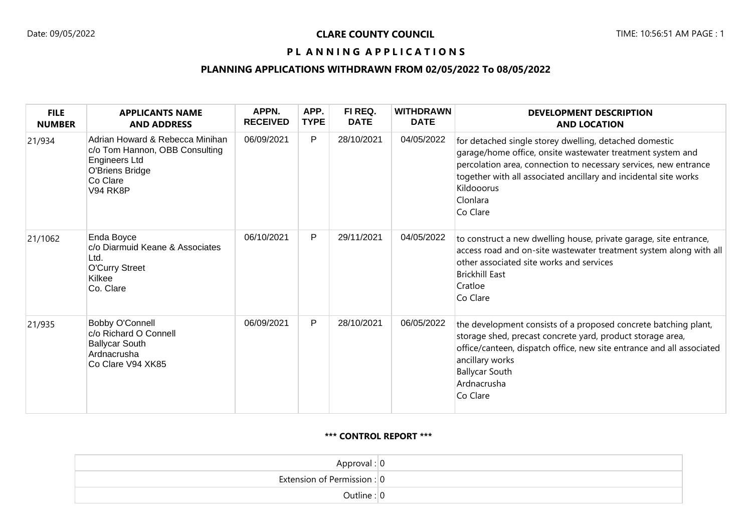### PL ANNING APPLICATIONS

# **PLANNING APPLICATIONS WITHDRAWN FROM 02/05/2022 To 08/05/2022**

| <b>FILE</b><br><b>NUMBER</b> | <b>APPLICANTS NAME</b><br><b>AND ADDRESS</b>                                                                                         | APPN.<br><b>RECEIVED</b> | APP.<br><b>TYPE</b> | FI REQ.<br><b>DATE</b> | <b>WITHDRAWN</b><br><b>DATE</b> | <b>DEVELOPMENT DESCRIPTION</b><br><b>AND LOCATION</b>                                                                                                                                                                                                                                              |
|------------------------------|--------------------------------------------------------------------------------------------------------------------------------------|--------------------------|---------------------|------------------------|---------------------------------|----------------------------------------------------------------------------------------------------------------------------------------------------------------------------------------------------------------------------------------------------------------------------------------------------|
| 21/934                       | Adrian Howard & Rebecca Minihan<br>c/o Tom Hannon, OBB Consulting<br>Engineers Ltd<br>O'Briens Bridge<br>Co Clare<br><b>V94 RK8P</b> | 06/09/2021               | P                   | 28/10/2021             | 04/05/2022                      | for detached single storey dwelling, detached domestic<br>garage/home office, onsite wastewater treatment system and<br>percolation area, connection to necessary services, new entrance<br>together with all associated ancillary and incidental site works<br>Kildooorus<br>Clonlara<br>Co Clare |
| 21/1062                      | Enda Boyce<br>c/o Diarmuid Keane & Associates<br>Ltd.<br><b>O'Curry Street</b><br>Kilkee<br>Co. Clare                                | 06/10/2021               | P                   | 29/11/2021             | 04/05/2022                      | to construct a new dwelling house, private garage, site entrance,<br>access road and on-site wastewater treatment system along with all<br>other associated site works and services<br><b>Brickhill East</b><br>Cratloe<br>Co Clare                                                                |
| 21/935                       | <b>Bobby O'Connell</b><br>c/o Richard O Connell<br><b>Ballycar South</b><br>Ardnacrusha<br>Co Clare V94 XK85                         | 06/09/2021               | P                   | 28/10/2021             | 06/05/2022                      | the development consists of a proposed concrete batching plant,<br>storage shed, precast concrete yard, product storage area,<br>office/canteen, dispatch office, new site entrance and all associated<br>ancillary works<br><b>Ballycar South</b><br>Ardnacrusha<br>Co Clare                      |

#### **\*\*\* CONTROL REPORT \*\*\***

| Approval: $ 0 $                 |
|---------------------------------|
| Extension of Permission : $ 0 $ |
| Outline: 0                      |